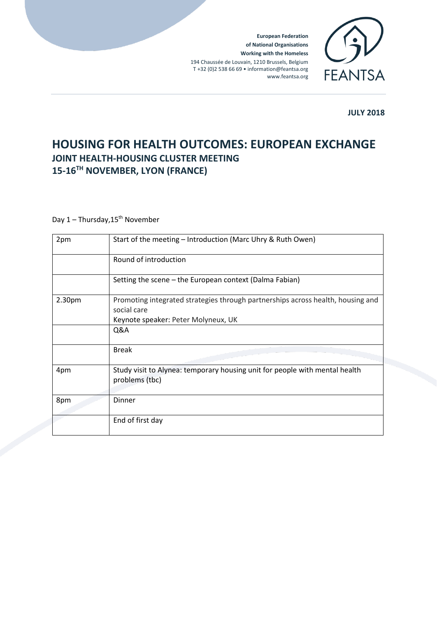**European Federation of National Organisations Working with the Homeless** 194 Chaussée de Louvain, 1210 Brussels, Belgium T +32 (0)2 538 66 69 • information@feantsa.org www.feantsa.org



**JULY 2018**

## **HOUSING FOR HEALTH OUTCOMES: EUROPEAN EXCHANGE JOINT HEALTH-HOUSING CLUSTER MEETING 15-16TH NOVEMBER, LYON (FRANCE)**

## Day  $1 -$  Thursday,  $15^{th}$  November

| 2pm    | Start of the meeting - Introduction (Marc Uhry & Ruth Owen)                                                                           |
|--------|---------------------------------------------------------------------------------------------------------------------------------------|
|        | Round of introduction                                                                                                                 |
|        | Setting the scene - the European context (Dalma Fabian)                                                                               |
| 2.30pm | Promoting integrated strategies through partnerships across health, housing and<br>social care<br>Keynote speaker: Peter Molyneux, UK |
|        | Q&A                                                                                                                                   |
|        | <b>Break</b>                                                                                                                          |
| 4pm    | Study visit to Alynea: temporary housing unit for people with mental health<br>problems (tbc)                                         |
| 8pm    | Dinner                                                                                                                                |
|        | End of first day                                                                                                                      |